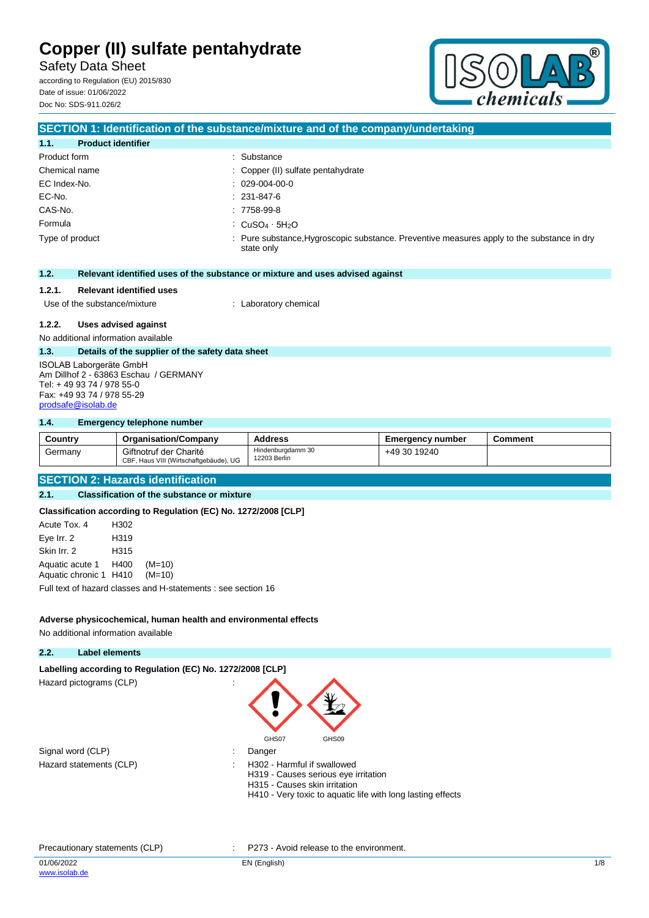Safety Data Sheet according to Regulation (EU) 2015/830

Date of issue: 01/06/2022 Doc No: SDS-911.026/2



## **SECTION 1: Identification of the substance/mixture and of the company/undertaking 1.1. Product identifier** Product form  $\qquad \qquad$ : Substance Chemical name  $\qquad \qquad$ : Copper (II) sulfate pentahydrate EC Index-No. : 029-004-00-0 EC-No. : 231-847-6 CAS-No. : 7758-99-8 Formula : CuSO<sub>4</sub> · 5H<sub>2</sub>O Type of product **interpretatal intervalse in the substance**, Preventive measures apply to the substance in dry state only **1.2. Relevant identified uses of the substance or mixture and uses advised against 1.2.1. Relevant identified uses** Use of the substance/mixture : Laboratory chemical **1.2.2. Uses advised against** No additional information available **1.3. Details of the supplier of the safety data sheet** ISOLAB Laborgeräte GmbH Am Dillhof 2 - 63863 Eschau / GERMANY Tel: + 49 93 74 / 978 55-0 Fax: +49 93 74 / 978 55-29

**1.4. Emergency telephone number**

[prodsafe@isolab.de](mailto:prodsafe@isolab.de)

| Country | <b>Organisation/Company</b>                                      | <b>Address</b>                    | <b>Emergency number</b> | Comment |
|---------|------------------------------------------------------------------|-----------------------------------|-------------------------|---------|
| Germany | Giftnotruf der Charité<br>CBF, Haus VIII (Wirtschaftgebäude), UG | Hindenburgdamm 30<br>12203 Berlin | +49 30 19240            |         |

#### **SECTION 2: Hazards identification**

### **2.1. Classification of the substance or mixture**

**Classification according to Regulation (EC) No. 1272/2008 [CLP]**

| Acute Tox, 4           | H302 |                                                               |
|------------------------|------|---------------------------------------------------------------|
| Eye Irr. 2             | H319 |                                                               |
| Skin Irr. 2            | H315 |                                                               |
| Aquatic acute 1 H400   |      | $(M=10)$                                                      |
| Aquatic chronic 1 H410 |      | $(M=10)$                                                      |
|                        |      | Full text of hazard classes and H-statements : see section 16 |

**Adverse physicochemical, human health and environmental effects**

No additional information available

### **2.2. Label elements**

Labelling according to Regulation (EC) No. 1272/2008 [CLP] Hazard pictograms (CLP) :

Signal word (CLP)  $\qquad \qquad$ : Danger



- 
- Hazard statements (CLP)  $\qquad \qquad$ : H302 Harmful if swallowed
	- H319 Causes serious eye irritation H315 - Causes skin irritation
	- H410 Very toxic to aquatic life with long lasting effects

#### Precautionary statements (CLP) : P273 - Avoid release to the environment.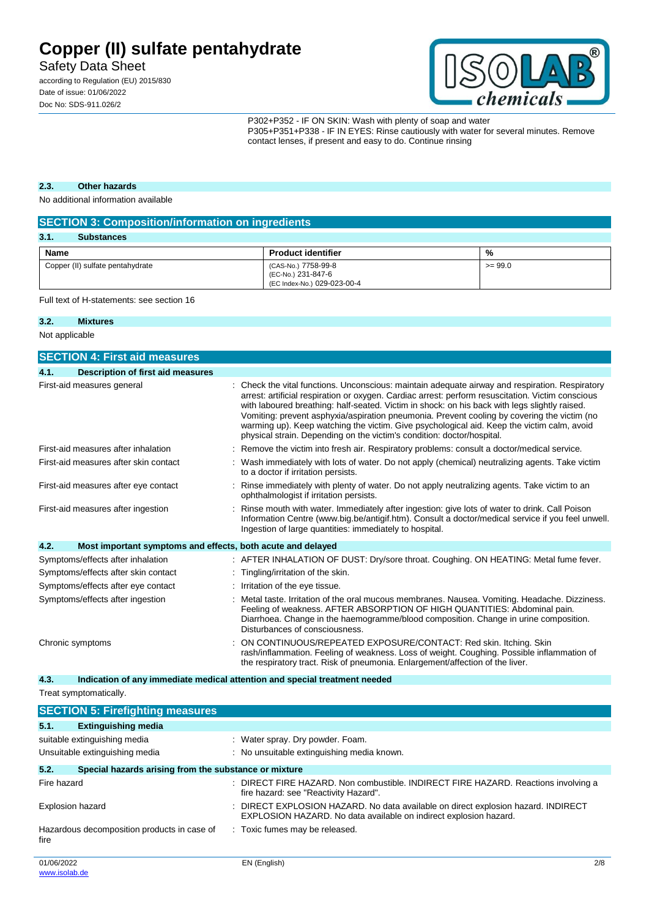Safety Data Sheet

according to Regulation (EU) 2015/830 Date of issue: 01/06/2022 Doc No: SDS-911.026/2



P302+P352 - IF ON SKIN: Wash with plenty of soap and water P305+P351+P338 - IF IN EYES: Rinse cautiously with water for several minutes. Remove contact lenses, if present and easy to do. Continue rinsing

### **2.3. Other hazards**

No additional information available

| <b>SECTION 3: Composition/information on ingredients</b> |                                                                          |           |
|----------------------------------------------------------|--------------------------------------------------------------------------|-----------|
| 3.1.<br><b>Substances</b>                                |                                                                          |           |
| Name                                                     | <b>Product identifier</b>                                                | %         |
| Copper (II) sulfate pentahydrate                         | (CAS-No.) 7758-99-8<br>(EC-No.) 231-847-6<br>(EC Index-No.) 029-023-00-4 | $>= 99.0$ |

Full text of H-statements: see section 16

#### **3.2. Mixtures**

Not applicable

|                  | <b>SECTION 4: First aid measures</b>                        |                                                                                                                                                                                                                                                                                                                                                                                                                                                                                                                                                                            |
|------------------|-------------------------------------------------------------|----------------------------------------------------------------------------------------------------------------------------------------------------------------------------------------------------------------------------------------------------------------------------------------------------------------------------------------------------------------------------------------------------------------------------------------------------------------------------------------------------------------------------------------------------------------------------|
| 4.1.             | <b>Description of first aid measures</b>                    |                                                                                                                                                                                                                                                                                                                                                                                                                                                                                                                                                                            |
|                  | First-aid measures general                                  | Check the vital functions. Unconscious: maintain adequate airway and respiration. Respiratory<br>arrest: artificial respiration or oxygen. Cardiac arrest: perform resuscitation. Victim conscious<br>with laboured breathing: half-seated. Victim in shock: on his back with legs slightly raised.<br>Vomiting: prevent asphyxia/aspiration pneumonia. Prevent cooling by covering the victim (no<br>warming up). Keep watching the victim. Give psychological aid. Keep the victim calm, avoid<br>physical strain. Depending on the victim's condition: doctor/hospital. |
|                  | First-aid measures after inhalation                         | Remove the victim into fresh air. Respiratory problems: consult a doctor/medical service.                                                                                                                                                                                                                                                                                                                                                                                                                                                                                  |
|                  | First-aid measures after skin contact                       | Wash immediately with lots of water. Do not apply (chemical) neutralizing agents. Take victim<br>to a doctor if irritation persists.                                                                                                                                                                                                                                                                                                                                                                                                                                       |
|                  | First-aid measures after eye contact                        | Rinse immediately with plenty of water. Do not apply neutralizing agents. Take victim to an<br>ophthalmologist if irritation persists.                                                                                                                                                                                                                                                                                                                                                                                                                                     |
|                  | First-aid measures after ingestion                          | Rinse mouth with water. Immediately after ingestion: give lots of water to drink. Call Poison<br>Information Centre (www.big.be/antigif.htm). Consult a doctor/medical service if you feel unwell.<br>Ingestion of large quantities: immediately to hospital.                                                                                                                                                                                                                                                                                                              |
| 4.2.             | Most important symptoms and effects, both acute and delayed |                                                                                                                                                                                                                                                                                                                                                                                                                                                                                                                                                                            |
|                  | Symptoms/effects after inhalation                           | : AFTER INHALATION OF DUST: Dry/sore throat. Coughing. ON HEATING: Metal fume fever.                                                                                                                                                                                                                                                                                                                                                                                                                                                                                       |
|                  | Symptoms/effects after skin contact                         | Tingling/irritation of the skin.                                                                                                                                                                                                                                                                                                                                                                                                                                                                                                                                           |
|                  | Symptoms/effects after eye contact                          | Irritation of the eye tissue.                                                                                                                                                                                                                                                                                                                                                                                                                                                                                                                                              |
|                  | Symptoms/effects after ingestion                            | Metal taste. Irritation of the oral mucous membranes. Nausea. Vomiting. Headache. Dizziness.<br>Feeling of weakness. AFTER ABSORPTION OF HIGH QUANTITIES: Abdominal pain.<br>Diarrhoea. Change in the haemogramme/blood composition. Change in urine composition.<br>Disturbances of consciousness.                                                                                                                                                                                                                                                                        |
| Chronic symptoms |                                                             | ON CONTINUOUS/REPEATED EXPOSURE/CONTACT: Red skin. Itching. Skin<br>rash/inflammation. Feeling of weakness. Loss of weight. Coughing. Possible inflammation of<br>the respiratory tract. Risk of pneumonia. Enlargement/affection of the liver.                                                                                                                                                                                                                                                                                                                            |

**4.3. Indication of any immediate medical attention and special treatment needed**

Treat symptomatically.

|                         | <b>SECTION 5: Firefighting measures</b>               |    |                                                                                                                                                      |     |
|-------------------------|-------------------------------------------------------|----|------------------------------------------------------------------------------------------------------------------------------------------------------|-----|
| 5.1.                    | <b>Extinguishing media</b>                            |    |                                                                                                                                                      |     |
|                         | suitable extinguishing media                          |    | : Water spray. Dry powder. Foam.                                                                                                                     |     |
|                         | Unsuitable extinguishing media                        |    | : No unsuitable extinguishing media known.                                                                                                           |     |
| 5.2.                    | Special hazards arising from the substance or mixture |    |                                                                                                                                                      |     |
| Fire hazard             |                                                       | ۰. | DIRECT FIRE HAZARD. Non combustible. INDIRECT FIRE HAZARD. Reactions involving a<br>fire hazard: see "Reactivity Hazard".                            |     |
| <b>Explosion hazard</b> |                                                       |    | DIRECT EXPLOSION HAZARD. No data available on direct explosion hazard. INDIRECT<br>EXPLOSION HAZARD. No data available on indirect explosion hazard. |     |
| fire                    | Hazardous decomposition products in case of           |    | : Toxic fumes may be released.                                                                                                                       |     |
| 01/06/2022              |                                                       |    | EN (English)                                                                                                                                         | 2/8 |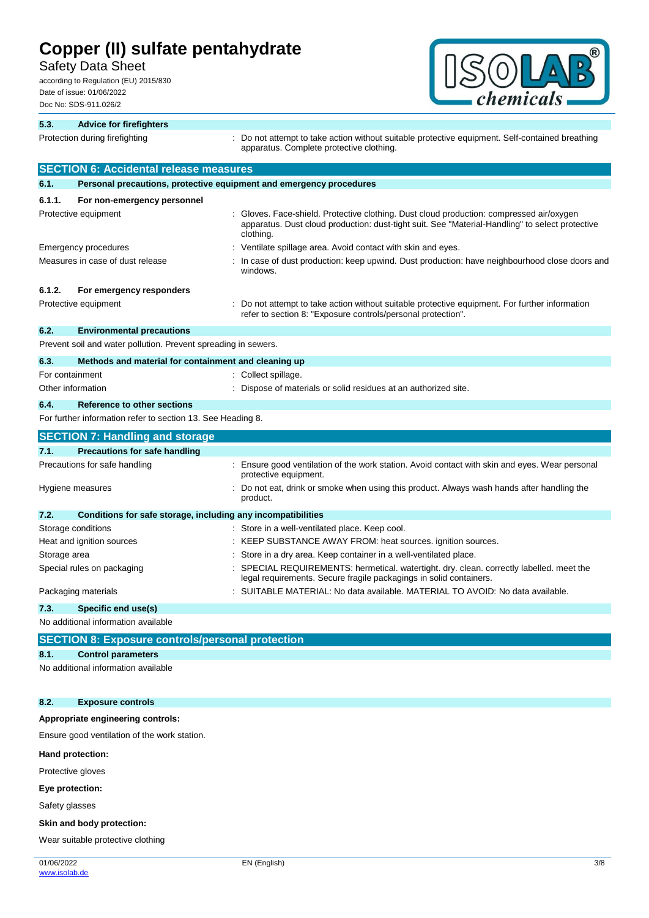Safety Data Sheet

according to Regulation (EU) 2015/830 Date of issue: 01/06/2022 Doc No: SDS-911.026/2



| 5.3.         | <b>Advice for firefighters</b>                                      |                                                                                                                                                                                                        |
|--------------|---------------------------------------------------------------------|--------------------------------------------------------------------------------------------------------------------------------------------------------------------------------------------------------|
|              | Protection during firefighting                                      | Do not attempt to take action without suitable protective equipment. Self-contained breathing<br>apparatus. Complete protective clothing.                                                              |
|              | <b>SECTION 6: Accidental release measures</b>                       |                                                                                                                                                                                                        |
| 6.1.         | Personal precautions, protective equipment and emergency procedures |                                                                                                                                                                                                        |
| 6.1.1.       | For non-emergency personnel                                         |                                                                                                                                                                                                        |
|              | Protective equipment                                                | Gloves. Face-shield. Protective clothing. Dust cloud production: compressed air/oxygen<br>apparatus. Dust cloud production: dust-tight suit. See "Material-Handling" to select protective<br>clothing. |
|              | Emergency procedures                                                | Ventilate spillage area. Avoid contact with skin and eyes.                                                                                                                                             |
|              | Measures in case of dust release                                    | In case of dust production: keep upwind. Dust production: have neighbourhood close doors and<br>windows.                                                                                               |
| 6.1.2.       | For emergency responders                                            |                                                                                                                                                                                                        |
|              | Protective equipment                                                | Do not attempt to take action without suitable protective equipment. For further information<br>refer to section 8: "Exposure controls/personal protection".                                           |
| 6.2.         | <b>Environmental precautions</b>                                    |                                                                                                                                                                                                        |
|              | Prevent soil and water pollution. Prevent spreading in sewers.      |                                                                                                                                                                                                        |
| 6.3.         | Methods and material for containment and cleaning up                |                                                                                                                                                                                                        |
|              | For containment                                                     | Collect spillage.                                                                                                                                                                                      |
|              | Other information                                                   | Dispose of materials or solid residues at an authorized site.                                                                                                                                          |
| 6.4.         | <b>Reference to other sections</b>                                  |                                                                                                                                                                                                        |
|              | For further information refer to section 13. See Heading 8.         |                                                                                                                                                                                                        |
|              | <b>SECTION 7: Handling and storage</b>                              |                                                                                                                                                                                                        |
| 7.1.         | <b>Precautions for safe handling</b>                                |                                                                                                                                                                                                        |
|              | Precautions for safe handling                                       | Ensure good ventilation of the work station. Avoid contact with skin and eyes. Wear personal<br>protective equipment.                                                                                  |
|              | Hygiene measures                                                    | Do not eat, drink or smoke when using this product. Always wash hands after handling the<br>product.                                                                                                   |
| 7.2.         | Conditions for safe storage, including any incompatibilities        |                                                                                                                                                                                                        |
|              | Storage conditions                                                  | Store in a well-ventilated place. Keep cool.                                                                                                                                                           |
|              | Heat and ignition sources                                           | KEEP SUBSTANCE AWAY FROM: heat sources. ignition sources.                                                                                                                                              |
| Storage area |                                                                     | Store in a dry area. Keep container in a well-ventilated place.                                                                                                                                        |
|              | Special rules on packaging                                          | SPECIAL REQUIREMENTS: hermetical. watertight. dry. clean. correctly labelled. meet the<br>legal requirements. Secure fragile packagings in solid containers.                                           |
|              | Packaging materials                                                 | SUITABLE MATERIAL: No data available. MATERIAL TO AVOID: No data available.                                                                                                                            |
| 7.3.         | Specific end use(s)                                                 |                                                                                                                                                                                                        |
|              | No additional information available                                 |                                                                                                                                                                                                        |
|              | <b>SECTION 8: Exposure controls/personal protection</b>             |                                                                                                                                                                                                        |

### **8.1. Control parameters**

No additional information available

### **8.2. Exposure controls**

### **Appropriate engineering controls:**

Ensure good ventilation of the work station.

#### **Hand protection:**

Protective gloves

#### **Eye protection:**

Safety glasses

#### **Skin and body protection:**

Wear suitable protective clothing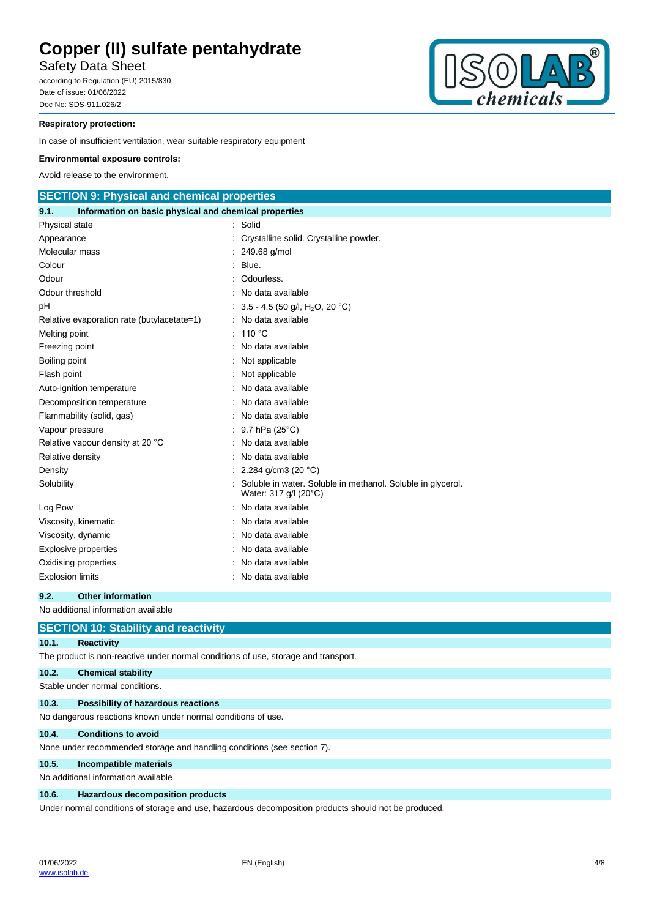Safety Data Sheet

according to Regulation (EU) 2015/830 Date of issue: 01/06/2022 Doc No: SDS-911.026/2



### **Respiratory protection:**

In case of insufficient ventilation, wear suitable respiratory equipment

#### **Environmental exposure controls:**

Avoid release to the environment.

| <b>SECTION 9: Physical and chemical properties</b>            |                                                                                      |
|---------------------------------------------------------------|--------------------------------------------------------------------------------------|
| Information on basic physical and chemical properties<br>9.1. |                                                                                      |
| Physical state                                                | Solid                                                                                |
| Appearance                                                    | Crystalline solid. Crystalline powder.                                               |
| Molecular mass                                                | 249.68 g/mol                                                                         |
| Colour                                                        | Blue.                                                                                |
| Odour                                                         | Odourless.                                                                           |
| Odour threshold                                               | No data available                                                                    |
| pН                                                            | 3.5 - 4.5 (50 g/l, H <sub>2</sub> O, 20 °C)                                          |
| Relative evaporation rate (butylacetate=1)                    | : No data available                                                                  |
| Melting point                                                 | 110 $\degree$ C                                                                      |
| Freezing point                                                | No data available                                                                    |
| Boiling point                                                 | Not applicable                                                                       |
| Flash point                                                   | Not applicable                                                                       |
| Auto-ignition temperature                                     | No data available                                                                    |
| Decomposition temperature                                     | No data available                                                                    |
| Flammability (solid, gas)                                     | No data available                                                                    |
| Vapour pressure                                               | 9.7 hPa (25°C)                                                                       |
| Relative vapour density at 20 °C                              | No data available                                                                    |
| Relative density                                              | No data available                                                                    |
| Density                                                       | 2.284 g/cm3 (20 $°C$ )                                                               |
| Solubility                                                    | Soluble in water. Soluble in methanol. Soluble in glycerol.<br>Water: 317 g/l (20°C) |
| Log Pow                                                       | No data available                                                                    |
| Viscosity, kinematic                                          | No data available                                                                    |
| Viscosity, dynamic                                            | No data available                                                                    |
| <b>Explosive properties</b>                                   | No data available                                                                    |
| Oxidising properties                                          | No data available                                                                    |
| <b>Explosion limits</b>                                       | : No data available                                                                  |

### **9.2. Other information**

No additional information available

|       | <b>SECTION 10: Stability and reactivity</b>                                                          |
|-------|------------------------------------------------------------------------------------------------------|
| 10.1. | <b>Reactivity</b>                                                                                    |
|       | The product is non-reactive under normal conditions of use, storage and transport.                   |
| 10.2. | <b>Chemical stability</b>                                                                            |
|       | Stable under normal conditions.                                                                      |
| 10.3. | Possibility of hazardous reactions                                                                   |
|       | No dangerous reactions known under normal conditions of use.                                         |
| 10.4. | <b>Conditions to avoid</b>                                                                           |
|       | None under recommended storage and handling conditions (see section 7).                              |
| 10.5. | Incompatible materials                                                                               |
|       | No additional information available                                                                  |
| 10.6. | <b>Hazardous decomposition products</b>                                                              |
|       | Under normal conditions of storage and use, hazardous decomposition products should not be produced. |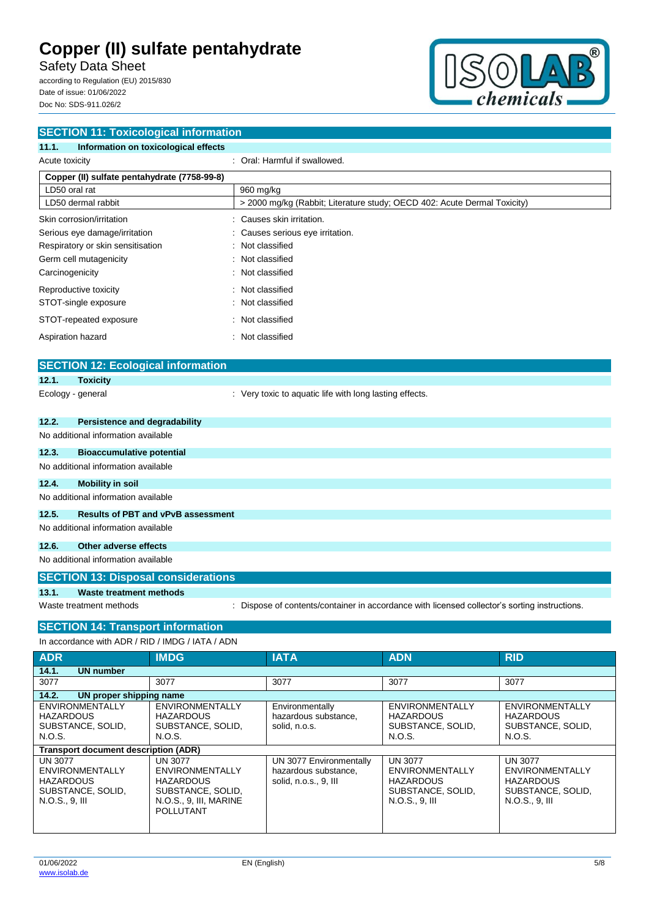Safety Data Sheet

according to Regulation (EU) 2015/830 Date of issue: 01/06/2022 Doc No: SDS-911.026/2



| <b>SECTION 11: Toxicological information</b>       |                                                                                               |            |
|----------------------------------------------------|-----------------------------------------------------------------------------------------------|------------|
| 11.1.<br>Information on toxicological effects      |                                                                                               |            |
| Acute toxicity                                     | : Oral: Harmful if swallowed.                                                                 |            |
| Copper (II) sulfate pentahydrate (7758-99-8)       |                                                                                               |            |
| LD50 oral rat                                      | 960 mg/kg                                                                                     |            |
| LD50 dermal rabbit                                 | > 2000 mg/kg (Rabbit; Literature study; OECD 402: Acute Dermal Toxicity)                      |            |
| Skin corrosion/irritation                          | Causes skin irritation.                                                                       |            |
| Serious eye damage/irritation                      | Causes serious eye irritation.                                                                |            |
| Respiratory or skin sensitisation                  | Not classified                                                                                |            |
| Germ cell mutagenicity                             | Not classified                                                                                |            |
| Carcinogenicity                                    | Not classified                                                                                |            |
| Reproductive toxicity                              | Not classified                                                                                |            |
| STOT-single exposure                               | Not classified                                                                                |            |
| STOT-repeated exposure                             | Not classified                                                                                |            |
| Aspiration hazard                                  | Not classified                                                                                |            |
|                                                    |                                                                                               |            |
| <b>SECTION 12: Ecological information</b>          |                                                                                               |            |
| 12.1.<br><b>Toxicity</b>                           |                                                                                               |            |
| Ecology - general                                  | : Very toxic to aquatic life with long lasting effects.                                       |            |
|                                                    |                                                                                               |            |
| 12.2.<br><b>Persistence and degradability</b>      |                                                                                               |            |
| No additional information available                |                                                                                               |            |
| 12.3.<br><b>Bioaccumulative potential</b>          |                                                                                               |            |
| No additional information available                |                                                                                               |            |
| 12.4.<br><b>Mobility in soil</b>                   |                                                                                               |            |
| No additional information available                |                                                                                               |            |
| 12.5.<br><b>Results of PBT and vPvB assessment</b> |                                                                                               |            |
| No additional information available                |                                                                                               |            |
| 12.6.<br>Other adverse effects                     |                                                                                               |            |
| No additional information available                |                                                                                               |            |
| <b>SECTION 13: Disposal considerations</b>         |                                                                                               |            |
| 13.1.<br><b>Waste treatment methods</b>            |                                                                                               |            |
| Waste treatment methods                            | : Dispose of contents/container in accordance with licensed collector's sorting instructions. |            |
|                                                    |                                                                                               |            |
| <b>SECTION 14: Transport information</b>           |                                                                                               |            |
| In accordance with ADR / RID / IMDG / IATA / ADN   |                                                                                               |            |
| <b>ADR</b><br><b>IMDG</b>                          | <b>IATA</b><br>ADN                                                                            | <b>RID</b> |
| 14.1.<br><b>UN number</b><br>3077<br>3077          | 3077<br>3077                                                                                  | 3077       |

**14.2. UN proper shipping name**

**Transport document description (ADR)**

ENVIRONMENTALLY **HAZARDOUS** SUBSTANCE, SOLID,

ENVIRONMENTALLY HAZARDOUS SUBSTANCE, SOLID, N.O.S., 9, III, MARINE POLLUTANT

N.O.S.

UN 3077

ENVIRONMENTALLY **HAZARDOUS** SUBSTANCE, SOLID,

ENVIRONMENTALLY HAZARDOUS SUBSTANCE, SOLID, N.O.S., 9, III

N.O.S.

UN 3077

**Environmentally** hazardous substance,

UN 3077 Environmentally hazardous substance, solid, n.o.s., 9, III

ENVIRONMENTALLY HAZARDOUS SUBSTANCE, SOLID,

ENVIRONMENTALLY **HAZARDOUS** SUBSTANCE, SOLID,

N.O.S.

UN 3077

N.O.S., 9, III

solid, n.o.s.

ENVIRONMENTALLY **HAZARDOUS** SUBSTANCE, SOLID,

ENVIRONMENTALLY HAZARDOUS SUBSTANCE, SOLID,

N.O.S.

UN 3077

N.O.S., 9, III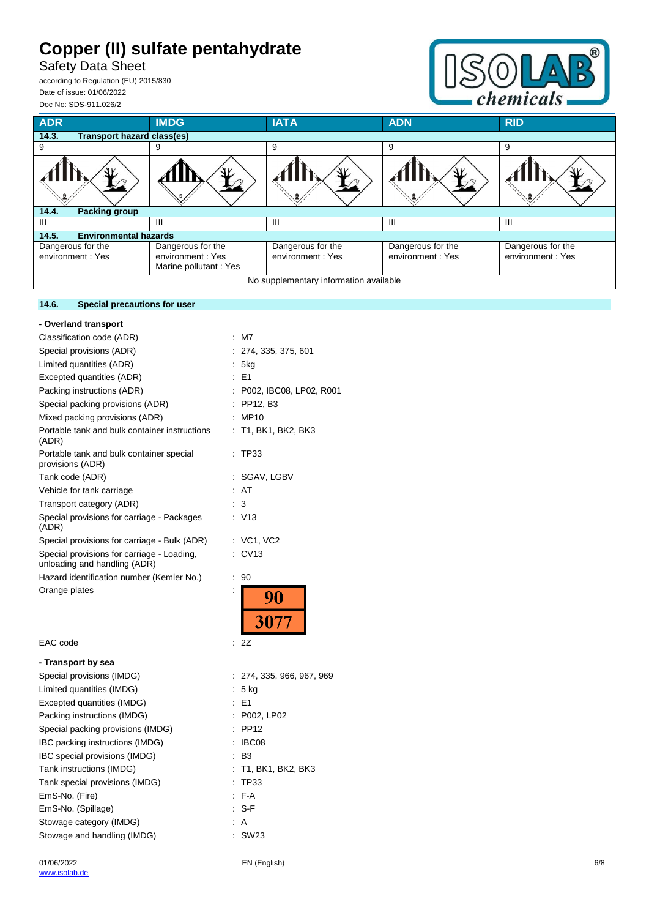Safety Data Sheet

according to Regulation (EU) 2015/830 Date of issue: 01/06/2022 Doc No: SDS-911.026/2

**14.6. Special precautions for user**



| <b>ADR</b>                                 | <b>IMDG</b>                                                    | <b>IATA</b>                            | <b>ADN</b>                            | <b>RID</b>                            |
|--------------------------------------------|----------------------------------------------------------------|----------------------------------------|---------------------------------------|---------------------------------------|
| 14.3.<br><b>Transport hazard class(es)</b> |                                                                |                                        |                                       |                                       |
| 9                                          | 9                                                              | 9                                      | 9                                     | 9                                     |
|                                            |                                                                |                                        |                                       |                                       |
| <b>Packing group</b><br>14.4.              |                                                                |                                        |                                       |                                       |
| Ш                                          | Ш                                                              | Ш                                      | Ш                                     | Ш                                     |
| 14.5.<br><b>Environmental hazards</b>      |                                                                |                                        |                                       |                                       |
| Dangerous for the<br>environment : Yes     | Dangerous for the<br>environment: Yes<br>Marine pollutant: Yes | Dangerous for the<br>environment: Yes  | Dangerous for the<br>environment: Yes | Dangerous for the<br>environment: Yes |
|                                            |                                                                | No supplementary information available |                                       |                                       |

| - Overland transport                                                       |                           |
|----------------------------------------------------------------------------|---------------------------|
| Classification code (ADR)                                                  | $:$ M7                    |
| Special provisions (ADR)                                                   | : 274, 335, 375, 601      |
| Limited quantities (ADR)                                                   | 5kg<br>÷.                 |
| Excepted quantities (ADR)                                                  | $E = 1$                   |
| Packing instructions (ADR)                                                 | : P002, IBC08, LP02, R001 |
| Special packing provisions (ADR)                                           | $:$ PP12, B3              |
| Mixed packing provisions (ADR)                                             | : MP10                    |
| Portable tank and bulk container instructions<br>(ADR)                     | : T1, BK1, BK2, BK3       |
| Portable tank and bulk container special<br>provisions (ADR)               | : TP33                    |
| Tank code (ADR)                                                            | : SGAV, LGBV              |
| Vehicle for tank carriage                                                  | : AT                      |
| Transport category (ADR)                                                   | 3                         |
| Special provisions for carriage - Packages<br>(ADR)                        | : V13                     |
| Special provisions for carriage - Bulk (ADR)                               | : VC1, VC2                |
| Special provisions for carriage - Loading,<br>unloading and handling (ADR) | CV13                      |
| Hazard identification number (Kemler No.)                                  | 90<br>÷                   |
| Orange plates                                                              | İ<br>90<br>3077           |
| EAC code                                                                   | ÷.<br>2Z                  |
| - Transport by sea                                                         |                           |
| Special provisions (IMDG)                                                  | : 274, 335, 966, 967, 969 |
| Limited quantities (IMDG)                                                  | $: 5$ kg                  |
| Excepted quantities (IMDG)                                                 | $E = 1$                   |
| Packing instructions (IMDG)                                                | : P002, LP02              |
| Special packing provisions (IMDG)                                          | <b>PP12</b>               |
| IBC packing instructions (IMDG)                                            | IBC08                     |
| IBC special provisions (IMDG)                                              | $\therefore$ B3           |
| Tank instructions (IMDG)                                                   | T1, BK1, BK2, BK3         |

Tank special provisions (IMDG) : TP33 EmS-No. (Fire) : F-A EmS-No. (Spillage) : S-F Stowage category (IMDG)  $\qquad \qquad$ : A Stowage and handling (IMDG) : SW23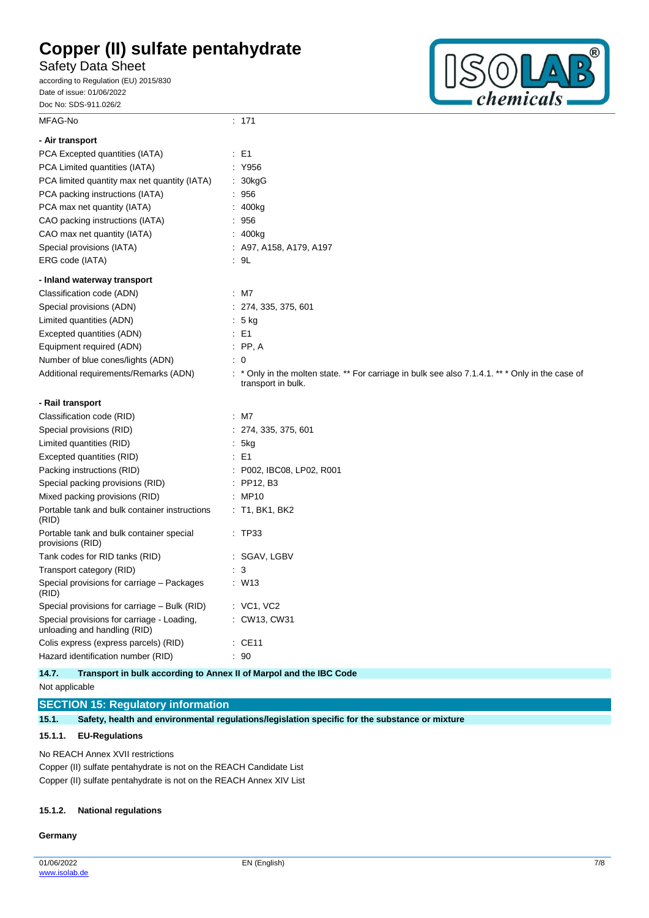Safety Data Sheet

according to Regulation (EU) 2015/830 Date of issue: 01/06/2022 Doc No: SDS-911.026/2



| MFAG-No                                                                    | : 171                                                                                                                |
|----------------------------------------------------------------------------|----------------------------------------------------------------------------------------------------------------------|
| - Air transport                                                            |                                                                                                                      |
| PCA Excepted quantities (IATA)                                             | : E1                                                                                                                 |
| PCA Limited quantities (IATA)                                              | : Y956                                                                                                               |
| PCA limited quantity max net quantity (IATA)                               | : 30kgG                                                                                                              |
| PCA packing instructions (IATA)                                            | : 956                                                                                                                |
| PCA max net quantity (IATA)                                                | 400kg                                                                                                                |
| CAO packing instructions (IATA)                                            | : 956                                                                                                                |
| CAO max net quantity (IATA)                                                | : 400kg                                                                                                              |
| Special provisions (IATA)                                                  | : A97, A158, A179, A197                                                                                              |
| ERG code (IATA)                                                            | : 9L                                                                                                                 |
| - Inland waterway transport                                                |                                                                                                                      |
| Classification code (ADN)                                                  | $:$ M7                                                                                                               |
| Special provisions (ADN)                                                   | : 274, 335, 375, 601                                                                                                 |
| Limited quantities (ADN)                                                   | $: 5$ kg                                                                                                             |
| Excepted quantities (ADN)                                                  | $\therefore$ E1                                                                                                      |
| Equipment required (ADN)                                                   | $\therefore$ PP, A                                                                                                   |
| Number of blue cones/lights (ADN)                                          | : 0                                                                                                                  |
| Additional requirements/Remarks (ADN)                                      | * Only in the molten state. ** For carriage in bulk see also 7.1.4.1. ** * Only in the case of<br>transport in bulk. |
|                                                                            |                                                                                                                      |
| - Rail transport                                                           |                                                                                                                      |
| Classification code (RID)                                                  | $:$ M7                                                                                                               |
| Special provisions (RID)                                                   | : 274, 335, 375, 601                                                                                                 |
| Limited quantities (RID)                                                   | : 5kg                                                                                                                |
| Excepted quantities (RID)                                                  | $\therefore$ E1                                                                                                      |
| Packing instructions (RID)                                                 | : P002, IBC08, LP02, R001                                                                                            |
| Special packing provisions (RID)                                           | $:$ PP12, B3                                                                                                         |
| Mixed packing provisions (RID)                                             | : MP10                                                                                                               |
| Portable tank and bulk container instructions<br>(RID)                     | $:$ T1, BK1, BK2                                                                                                     |
| Portable tank and bulk container special<br>provisions (RID)               | : TP33                                                                                                               |
| Tank codes for RID tanks (RID)                                             | : SGAV, LGBV                                                                                                         |
| Transport category (RID)                                                   | $\cdot$ 3                                                                                                            |
| Special provisions for carriage - Packages<br>(RID)                        | W13                                                                                                                  |
| Special provisions for carriage - Bulk (RID)                               | $:$ VC1, VC2                                                                                                         |
| Special provisions for carriage - Loading,<br>unloading and handling (RID) | : CW13, CW31                                                                                                         |
| Colis express (express parcels) (RID)                                      | $\therefore$ CE11                                                                                                    |

**14.7. Transport in bulk according to Annex II of Marpol and the IBC Code**

Not applicable

**SECTION 15: Regulatory information**

**15.1. Safety, health and environmental regulations/legislation specific for the substance or mixture**

### **15.1.1. EU-Regulations**

No REACH Annex XVII restrictions

Copper (II) sulfate pentahydrate is not on the REACH Candidate List Copper (II) sulfate pentahydrate is not on the REACH Annex XIV List

#### **15.1.2. National regulations**

#### **Germany**